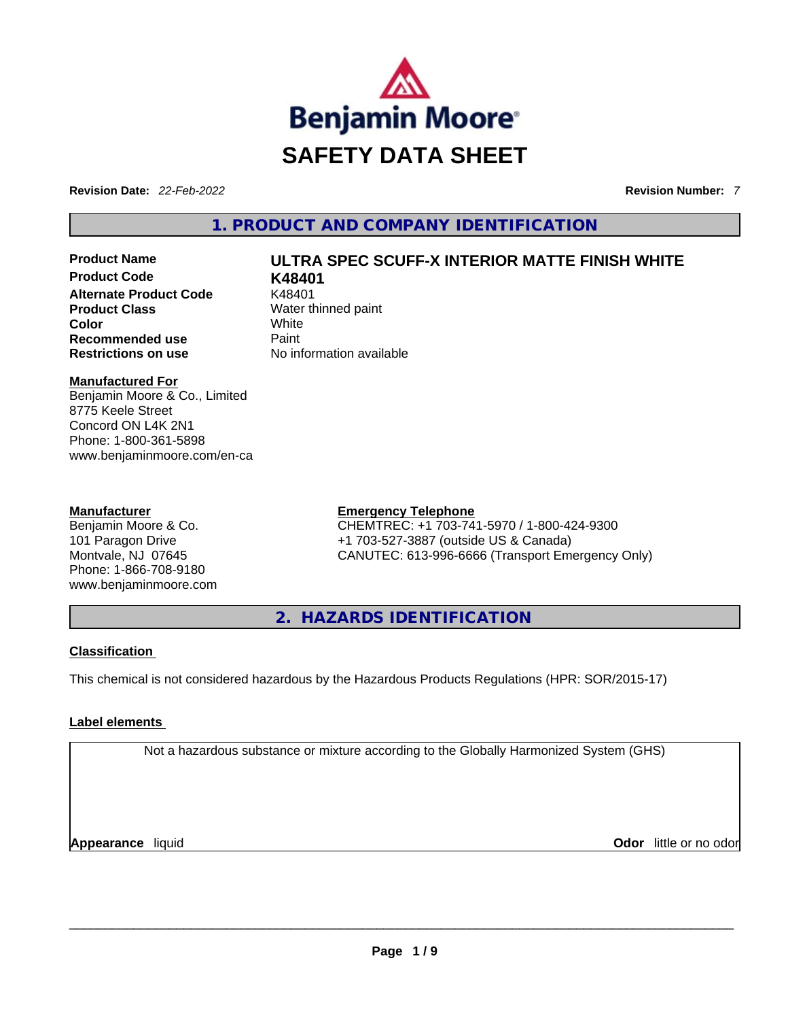

**Revision Date:** *22-Feb-2022* **Revision Number:** *7*

**1. PRODUCT AND COMPANY IDENTIFICATION** 

# **Product Name ULTRA SPEC SCUFF-X INTERIOR MATTE FINISH WHITE**

**Product Code K48401 Alternate Product Code** K48401 **Product Class Water thinned paint Color** White **Recommended use Paint Restrictions on use** No information available

**Manufactured For**

Benjamin Moore & Co., Limited 8775 Keele Street Concord ON L4K 2N1 Phone: 1-800-361-5898 www.benjaminmoore.com/en-ca

#### **Manufacturer**

Benjamin Moore & Co. 101 Paragon Drive Montvale, NJ 07645 Phone: 1-866-708-9180 www.benjaminmoore.com

### **Emergency Telephone**

CHEMTREC: +1 703-741-5970 / 1-800-424-9300 +1 703-527-3887 (outside US & Canada) CANUTEC: 613-996-6666 (Transport Emergency Only)

**2. HAZARDS IDENTIFICATION** 

### **Classification**

This chemical is not considered hazardous by the Hazardous Products Regulations (HPR: SOR/2015-17)

## **Label elements**

Not a hazardous substance or mixture according to the Globally Harmonized System (GHS)

**Appearance** liquid **Odor** little or no odor \_\_\_\_\_\_\_\_\_\_\_\_\_\_\_\_\_\_\_\_\_\_\_\_\_\_\_\_\_\_\_\_\_\_\_\_\_\_\_\_\_\_\_\_\_\_\_\_\_\_\_\_\_\_\_\_\_\_\_\_\_\_\_\_\_\_\_\_\_\_\_\_\_\_\_\_\_\_\_\_\_\_\_\_\_\_\_\_\_\_\_\_\_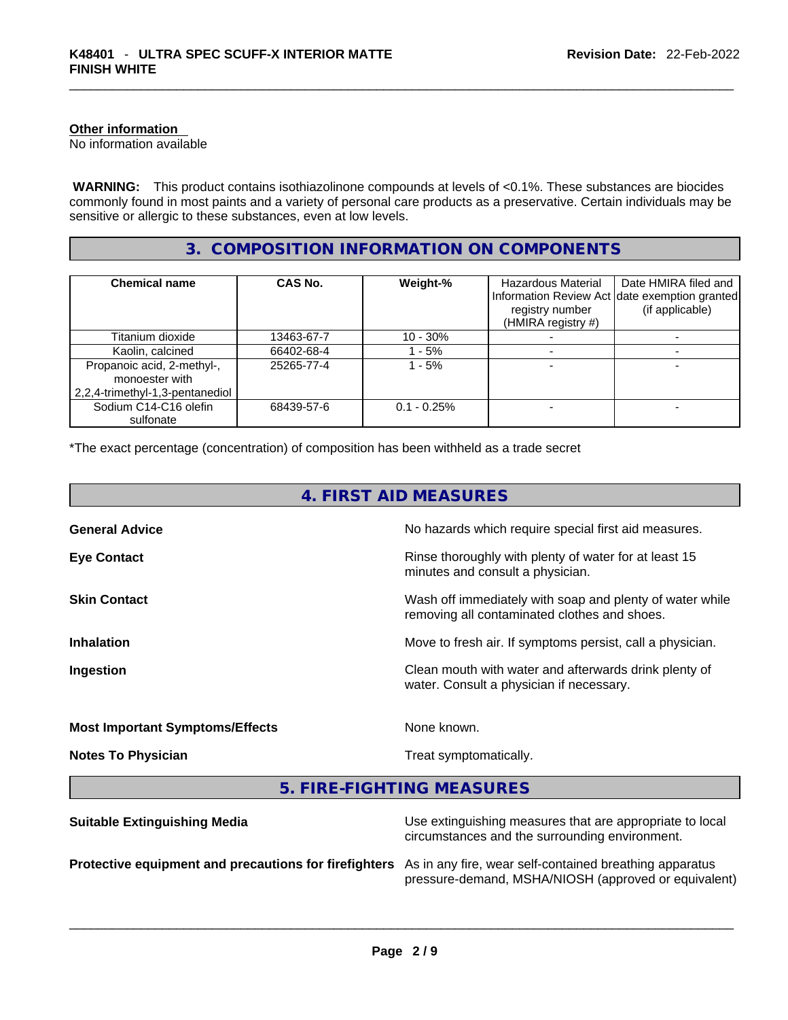#### **Other information**

No information available

 **WARNING:** This product contains isothiazolinone compounds at levels of <0.1%. These substances are biocides commonly found in most paints and a variety of personal care products as a preservative. Certain individuals may be sensitive or allergic to these substances, even at low levels.

# **3. COMPOSITION INFORMATION ON COMPONENTS**

| <b>Chemical name</b>                                                            | CAS No.    | Weight-%      | Hazardous Material<br>registry number<br>(HMIRA registry #) | Date HMIRA filed and<br>Information Review Act date exemption granted<br>(if applicable) |
|---------------------------------------------------------------------------------|------------|---------------|-------------------------------------------------------------|------------------------------------------------------------------------------------------|
| Titanium dioxide                                                                | 13463-67-7 | $10 - 30%$    |                                                             |                                                                                          |
| Kaolin, calcined                                                                | 66402-68-4 | - 5%          |                                                             |                                                                                          |
| Propanoic acid, 2-methyl-,<br>monoester with<br>2,2,4-trimethyl-1,3-pentanediol | 25265-77-4 | $-5%$         |                                                             |                                                                                          |
| Sodium C14-C16 olefin<br>sulfonate                                              | 68439-57-6 | $0.1 - 0.25%$ |                                                             |                                                                                          |

\*The exact percentage (concentration) of composition has been withheld as a trade secret

| 4. FIRST AID MEASURES                  |                                                                                                          |  |  |
|----------------------------------------|----------------------------------------------------------------------------------------------------------|--|--|
| <b>General Advice</b>                  | No hazards which require special first aid measures.                                                     |  |  |
| <b>Eye Contact</b>                     | Rinse thoroughly with plenty of water for at least 15<br>minutes and consult a physician.                |  |  |
| <b>Skin Contact</b>                    | Wash off immediately with soap and plenty of water while<br>removing all contaminated clothes and shoes. |  |  |
| <b>Inhalation</b>                      | Move to fresh air. If symptoms persist, call a physician.                                                |  |  |
| Ingestion                              | Clean mouth with water and afterwards drink plenty of<br>water. Consult a physician if necessary.        |  |  |
| <b>Most Important Symptoms/Effects</b> | None known.                                                                                              |  |  |
| <b>Notes To Physician</b>              | Treat symptomatically.                                                                                   |  |  |
|                                        | 5. FIRE-FIGHTING MEASURES                                                                                |  |  |
| Suitable Extinguishing Media           | I lse extinguishing measures that are appropriate to local                                               |  |  |

| <b>Uditable Extinguishing meala</b>                                                                           | oso oximigaloring modernos that are appropriate to local<br>circumstances and the surrounding environment. |
|---------------------------------------------------------------------------------------------------------------|------------------------------------------------------------------------------------------------------------|
| Protective equipment and precautions for firefighters As in any fire, wear self-contained breathing apparatus | pressure-demand, MSHA/NIOSH (approved or equivalent)                                                       |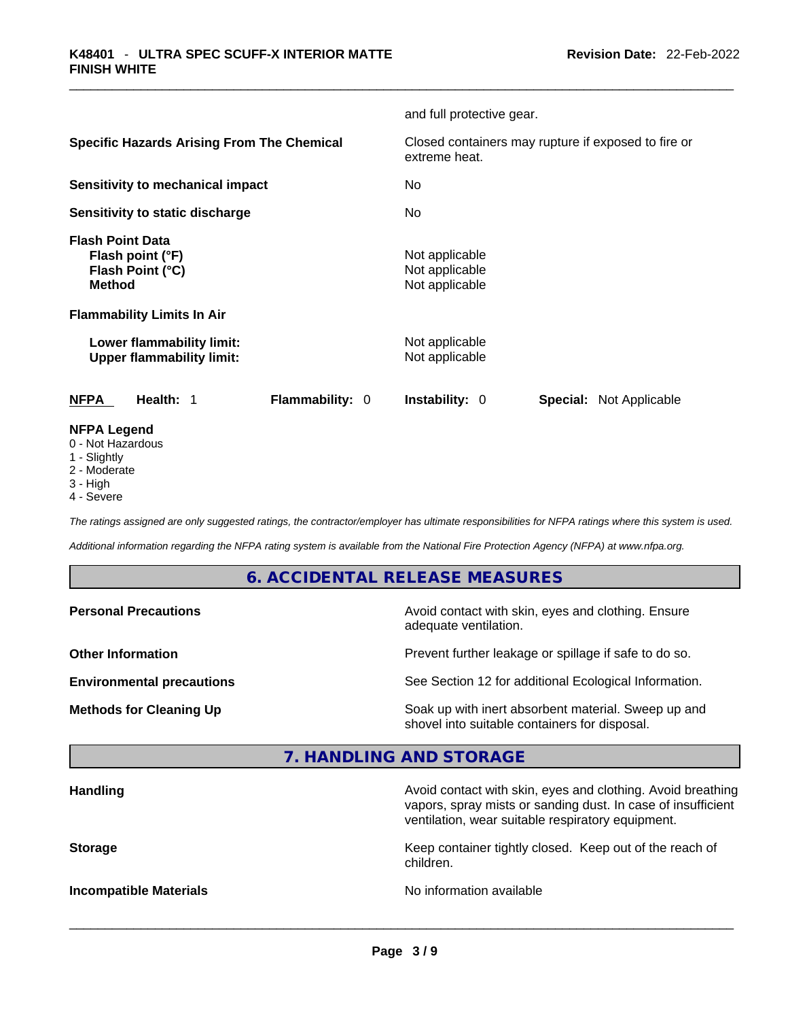|                                                                                  | and full protective gear.                                            |
|----------------------------------------------------------------------------------|----------------------------------------------------------------------|
| <b>Specific Hazards Arising From The Chemical</b>                                | Closed containers may rupture if exposed to fire or<br>extreme heat. |
| <b>Sensitivity to mechanical impact</b>                                          | No                                                                   |
| Sensitivity to static discharge                                                  | No                                                                   |
| <b>Flash Point Data</b><br>Flash point (°F)<br>Flash Point (°C)<br><b>Method</b> | Not applicable<br>Not applicable<br>Not applicable                   |
| <b>Flammability Limits In Air</b>                                                |                                                                      |
| Lower flammability limit:<br><b>Upper flammability limit:</b>                    | Not applicable<br>Not applicable                                     |
| <b>NFPA</b><br><b>Flammability: 0</b><br>Health: 1                               | <b>Instability: 0</b><br><b>Special: Not Applicable</b>              |
| <b>NFPA Legend</b><br>0 - Not Hazardous                                          |                                                                      |

- 1 Slightly
- 2 Moderate
- 3 High
- 4 Severe

*The ratings assigned are only suggested ratings, the contractor/employer has ultimate responsibilities for NFPA ratings where this system is used.* 

*Additional information regarding the NFPA rating system is available from the National Fire Protection Agency (NFPA) at www.nfpa.org.* 

# **6. ACCIDENTAL RELEASE MEASURES**

| Prevent further leakage or spillage if safe to do so.<br>See Section 12 for additional Ecological Information.<br>Soak up with inert absorbent material. Sweep up and<br>shovel into suitable containers for disposal. | <b>Personal Precautions</b>      | Avoid contact with skin, eyes and clothing. Ensure<br>adequate ventilation. |
|------------------------------------------------------------------------------------------------------------------------------------------------------------------------------------------------------------------------|----------------------------------|-----------------------------------------------------------------------------|
|                                                                                                                                                                                                                        | <b>Other Information</b>         |                                                                             |
|                                                                                                                                                                                                                        | <b>Environmental precautions</b> |                                                                             |
|                                                                                                                                                                                                                        | <b>Methods for Cleaning Up</b>   |                                                                             |

# **7. HANDLING AND STORAGE**

| <b>Handling</b>               | Avoid contact with skin, eyes and clothing. Avoid breathing<br>vapors, spray mists or sanding dust. In case of insufficient<br>ventilation, wear suitable respiratory equipment. |
|-------------------------------|----------------------------------------------------------------------------------------------------------------------------------------------------------------------------------|
| <b>Storage</b>                | Keep container tightly closed. Keep out of the reach of<br>children.                                                                                                             |
| <b>Incompatible Materials</b> | No information available                                                                                                                                                         |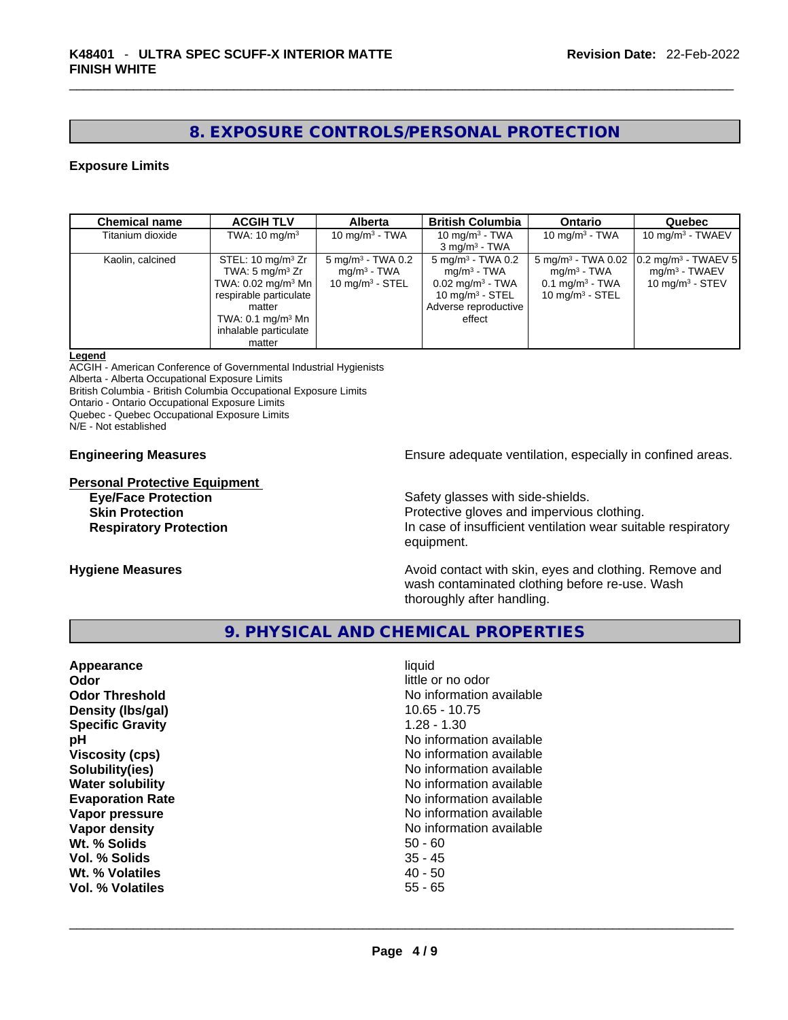# **8. EXPOSURE CONTROLS/PERSONAL PROTECTION**

#### **Exposure Limits**

| <b>Chemical name</b> | <b>ACGIH TLV</b>                 | <b>Alberta</b>               | <b>British Columbia</b>      | <b>Ontario</b>                | Quebec                                         |
|----------------------|----------------------------------|------------------------------|------------------------------|-------------------------------|------------------------------------------------|
| Titanium dioxide     | TWA: $10 \text{ mg/m}^3$         | 10 mg/m $3$ - TWA            | 10 mg/m $3$ - TWA            | 10 mg/m $3$ - TWA             | 10 mg/m $3$ - TWAEV                            |
|                      |                                  |                              | $3 \text{ mg/m}^3$ - TWA     |                               |                                                |
| Kaolin, calcined     | STEL: $10 \text{ mg/m}^3$ Zr     | $5 \text{ mg/m}^3$ - TWA 0.2 | $5 \text{ mg/m}^3$ - TWA 0.2 | $5 \text{ mg/m}^3$ - TWA 0.02 | $\left 0.2\right $ mg/m <sup>3</sup> - TWAEV 5 |
|                      | TWA: 5 mg/m $3$ Zr               | mg/m <sup>3</sup> - TWA      | mg/m <sup>3</sup> - TWA      | mg/m <sup>3</sup> - TWA       | $mq/m3$ - TWAEV                                |
|                      | TWA: $0.02$ mg/m <sup>3</sup> Mn | $10 \text{ mg/m}^3$ - STEL   | $0.02 \text{ mg/m}^3$ - TWA  | $0.1$ mg/m <sup>3</sup> - TWA | 10 mg/m $3 -$ STEV                             |
|                      | respirable particulate           |                              | 10 mg/m $3 -$ STEL           | 10 $mq/m3$ - STEL             |                                                |
|                      | matter                           |                              | Adverse reproductive         |                               |                                                |
|                      | TWA: $0.1 \text{ mg/m}^3$ Mn     |                              | effect                       |                               |                                                |
|                      | inhalable particulate            |                              |                              |                               |                                                |
|                      | matter                           |                              |                              |                               |                                                |

#### **Legend**

ACGIH - American Conference of Governmental Industrial Hygienists

Alberta - Alberta Occupational Exposure Limits

British Columbia - British Columbia Occupational Exposure Limits

Ontario - Ontario Occupational Exposure Limits

Quebec - Quebec Occupational Exposure Limits N/E - Not established

**Personal Protective Equipment**<br> **Eye/Face Protection** 

**Engineering Measures Ensure** Ensure adequate ventilation, especially in confined areas.

Safety glasses with side-shields.

**Skin Protection Protection Protective gloves and impervious clothing. Respiratory Protection In case of insufficient ventilation wear suitable respiratory** equipment.

**Hygiene Measures Avoid contact with skin, eyes and clothing. Remove and Avoid contact with skin, eyes and clothing. Remove and** wash contaminated clothing before re-use. Wash thoroughly after handling.

# **9. PHYSICAL AND CHEMICAL PROPERTIES**

| Appearance              | liquid                   |
|-------------------------|--------------------------|
| Odor                    | little or no odor        |
| <b>Odor Threshold</b>   | No information available |
| Density (Ibs/gal)       | $10.65 - 10.75$          |
| <b>Specific Gravity</b> | $1.28 - 1.30$            |
| рH                      | No information available |
| <b>Viscosity (cps)</b>  | No information available |
| Solubility(ies)         | No information available |
| <b>Water solubility</b> | No information available |
| <b>Evaporation Rate</b> | No information available |
| Vapor pressure          | No information available |
| Vapor density           | No information available |
| Wt. % Solids            | $50 - 60$                |
| Vol. % Solids           | $35 - 45$                |
| Wt. % Volatiles         | $40 - 50$                |
| Vol. % Volatiles        | $55 - 65$                |
|                         |                          |
|                         |                          |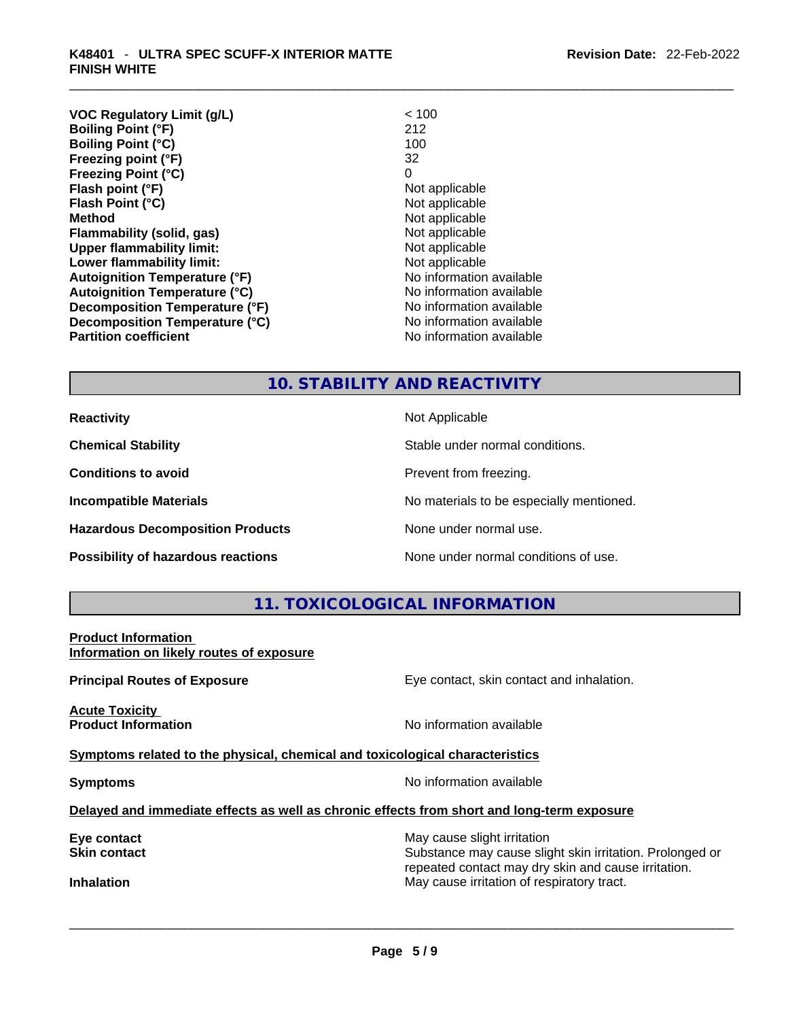#### \_\_\_\_\_\_\_\_\_\_\_\_\_\_\_\_\_\_\_\_\_\_\_\_\_\_\_\_\_\_\_\_\_\_\_\_\_\_\_\_\_\_\_\_\_\_\_\_\_\_\_\_\_\_\_\_\_\_\_\_\_\_\_\_\_\_\_\_\_\_\_\_\_\_\_\_\_\_\_\_\_\_\_\_\_\_\_\_\_\_\_\_\_ **K48401** - **ULTRA SPEC SCUFF-X INTERIOR MATTE FINISH WHITE**

| <b>VOC Regulatory Limit (g/L)</b>    | < 100                    |
|--------------------------------------|--------------------------|
| <b>Boiling Point (°F)</b>            | 212                      |
| <b>Boiling Point (°C)</b>            | 100                      |
| Freezing point (°F)                  | 32                       |
| <b>Freezing Point (°C)</b>           | 0                        |
| Flash point (°F)                     | Not applicable           |
| Flash Point (°C)                     | Not applicable           |
| <b>Method</b>                        | Not applicable           |
| Flammability (solid, gas)            | Not applicable           |
| <b>Upper flammability limit:</b>     | Not applicable           |
| Lower flammability limit:            | Not applicable           |
| <b>Autoignition Temperature (°F)</b> | No information available |
| <b>Autoignition Temperature (°C)</b> | No information available |
| Decomposition Temperature (°F)       | No information available |
| Decomposition Temperature (°C)       | No information available |
| <b>Partition coefficient</b>         | No information available |
|                                      |                          |

# **10. STABILITY AND REACTIVITY**

**Hazardous Decomposition Products** None under normal use.

**Reactivity Not Applicable Not Applicable** 

**Chemical Stability** Stable under normal conditions.

**Conditions to avoid Prevent from freezing.** 

**Incompatible Materials Materials No materials to be especially mentioned.** 

**Possibility of hazardous reactions** None under normal conditions of use.

# **11. TOXICOLOGICAL INFORMATION**

**Product Information Information on likely routes of exposure**

**Acute Toxicity Product Information Information No information available** 

**Principal Routes of Exposure Exposure** Eye contact, skin contact and inhalation.

**<u>Symptoms related to the physical, chemical and toxicological characteristics</u>** 

**Symptoms Symptoms No information available** 

**Delayed and immediate effects as well as chronic effects from short and long-term exposure**

**Eye contact** May cause slight irritation **Eye** contact **May cause slight irritation** 

**Skin contact Substance may cause slight skin irritation. Prolonged or** Substance may cause slight skin irritation. Prolonged or repeated contact may dry skin and cause irritation. **Inhalation** May cause irritation of respiratory tract. \_\_\_\_\_\_\_\_\_\_\_\_\_\_\_\_\_\_\_\_\_\_\_\_\_\_\_\_\_\_\_\_\_\_\_\_\_\_\_\_\_\_\_\_\_\_\_\_\_\_\_\_\_\_\_\_\_\_\_\_\_\_\_\_\_\_\_\_\_\_\_\_\_\_\_\_\_\_\_\_\_\_\_\_\_\_\_\_\_\_\_\_\_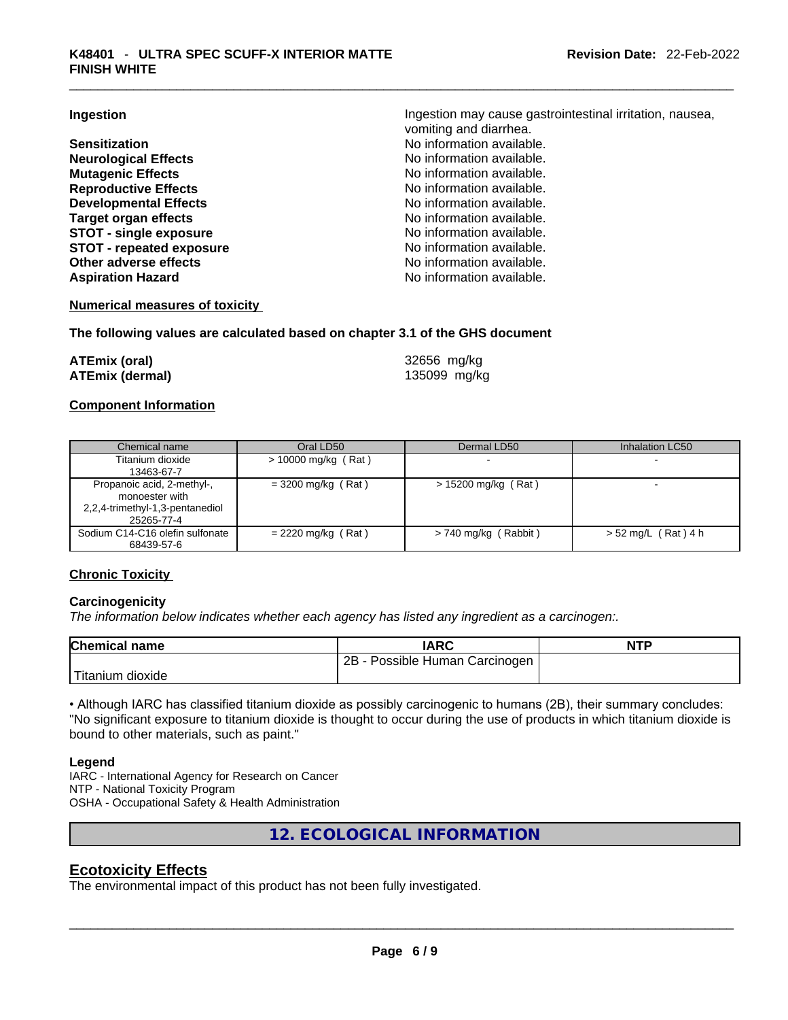**Neurological Effects** No information available. **Mutagenic Effects Mutagenic Effects No information available. Reproductive Effects No information available.** No information available. **Developmental Effects No information available. Target organ effects**<br> **STOT - single exposure**<br> **STOT - single exposure**<br> **No information available. STOT** - single exposure **STOT** - **repeated exposure No information available. Other adverse effects No information available.** Aspiration Hazard **Aspiration Hazard No information available.** 

**Ingestion Ingestion Ingestion may cause gastrointestinal irritation**, nausea, vomiting and diarrhea. **Sensitization No information available. No information available.** 

#### **Numerical measures of toxicity**

#### **The following values are calculated based on chapter 3.1 of the GHS document**

| ATEmix (oral)   | 32656 mg/kg  |
|-----------------|--------------|
| ATEmix (dermal) | 135099 mg/kg |

#### **Component Information**

| Chemical name                                                                                 | Oral LD50             | Dermal LD50            | Inhalation LC50          |
|-----------------------------------------------------------------------------------------------|-----------------------|------------------------|--------------------------|
| Titanium dioxide<br>13463-67-7                                                                | $> 10000$ mg/kg (Rat) |                        |                          |
| Propanoic acid, 2-methyl-,<br>monoester with<br>2,2,4-trimethyl-1,3-pentanediol<br>25265-77-4 | $= 3200$ mg/kg (Rat)  | $> 15200$ mg/kg (Rat)  | $\overline{\phantom{0}}$ |
| Sodium C14-C16 olefin sulfonate<br>68439-57-6                                                 | $= 2220$ mg/kg (Rat)  | $> 740$ mg/kg (Rabbit) | $> 52$ mg/L (Rat) 4 h    |

#### **Chronic Toxicity**

#### **Carcinogenicity**

*The information below indicates whether each agency has listed any ingredient as a carcinogen:.* 

| <b>Chemical name</b>          | <b>IARC</b>                           | <b>NTP</b> |
|-------------------------------|---------------------------------------|------------|
|                               | $2B -$<br>- Possible Human Carcinogen |            |
| <sup>I</sup> Titanium dioxide |                                       |            |

• Although IARC has classified titanium dioxide as possibly carcinogenic to humans (2B), their summary concludes: "No significant exposure to titanium dioxide is thought to occur during the use of products in which titanium dioxide is bound to other materials, such as paint."

#### **Legend**

IARC - International Agency for Research on Cancer NTP - National Toxicity Program OSHA - Occupational Safety & Health Administration

**12. ECOLOGICAL INFORMATION** 

# **Ecotoxicity Effects**

The environmental impact of this product has not been fully investigated.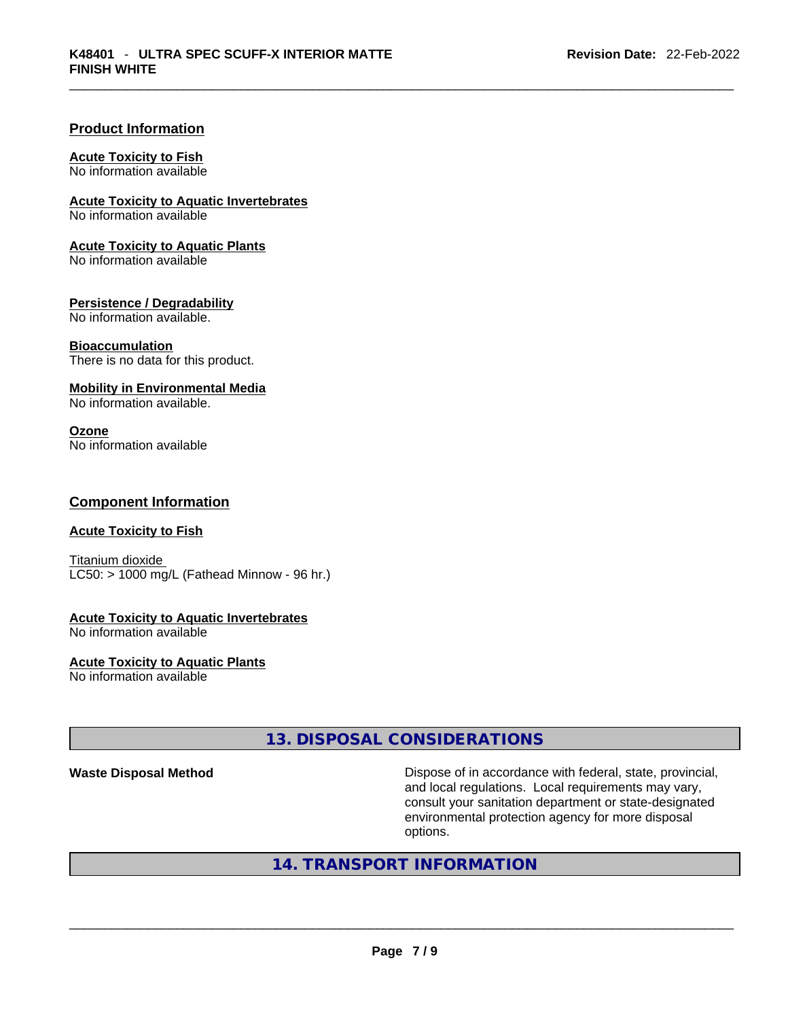#### **Product Information**

#### **Acute Toxicity to Fish**

No information available

# **Acute Toxicity to Aquatic Invertebrates**

No information available

#### **Acute Toxicity to Aquatic Plants**

No information available

#### **Persistence / Degradability**

No information available.

#### **Bioaccumulation**

There is no data for this product.

#### **Mobility in Environmental Media**

No information available.

#### **Ozone**

No information available

#### **Component Information**

#### **Acute Toxicity to Fish**

Titanium dioxide  $LC50:$  > 1000 mg/L (Fathead Minnow - 96 hr.)

#### **Acute Toxicity to Aquatic Invertebrates**

No information available

# **Acute Toxicity to Aquatic Plants**

No information available

# **13. DISPOSAL CONSIDERATIONS**

**Waste Disposal Method** Dispose of in accordance with federal, state, provincial, and local regulations. Local requirements may vary, consult your sanitation department or state-designated environmental protection agency for more disposal options.

# **14. TRANSPORT INFORMATION**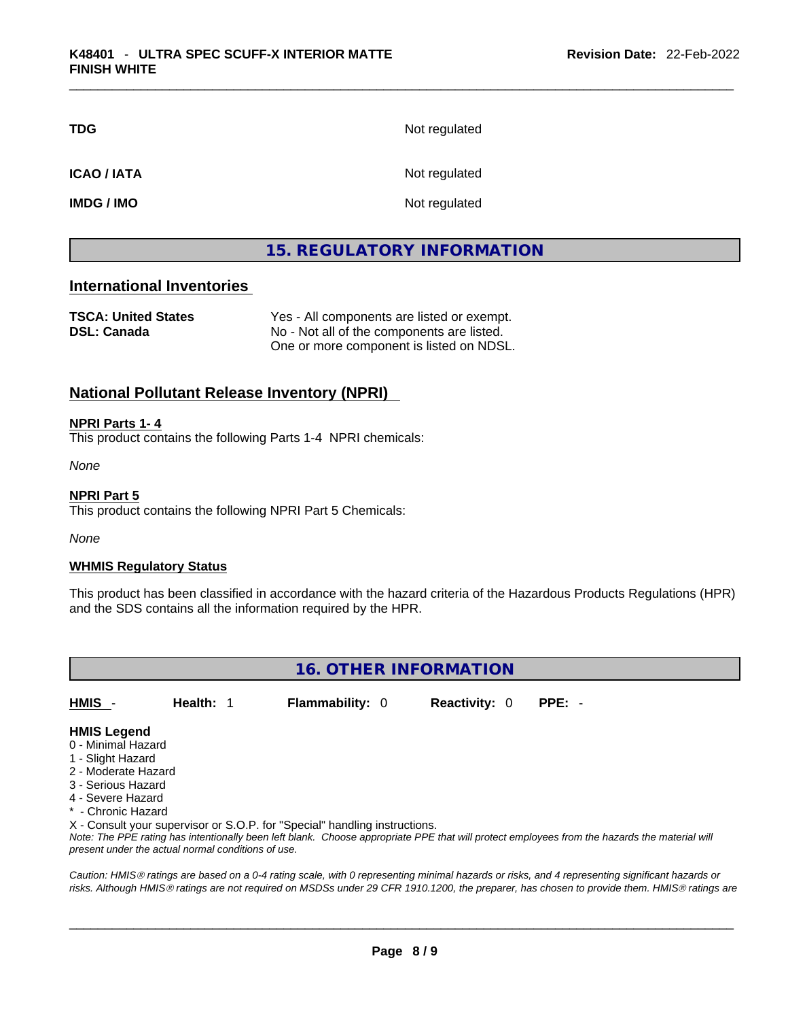| <b>TDG</b>        | Not regulated |
|-------------------|---------------|
| <b>ICAO/IATA</b>  | Not regulated |
| <b>IMDG / IMO</b> | Not regulated |

# **15. REGULATORY INFORMATION**

# **International Inventories**

| <b>TSCA: United States</b> | Yes - All components are listed or exempt. |
|----------------------------|--------------------------------------------|
| <b>DSL: Canada</b>         | No - Not all of the components are listed. |
|                            | One or more component is listed on NDSL.   |

### **National Pollutant Release Inventory (NPRI)**

**NPRI Parts 1- 4**

This product contains the following Parts 1-4 NPRI chemicals:

*None*

**NPRI Part 5**

This product contains the following NPRI Part 5 Chemicals:

*None*

#### **WHMIS Regulatory Status**

This product has been classified in accordance with the hazard criteria of the Hazardous Products Regulations (HPR) and the SDS contains all the information required by the HPR.



**HMIS** - **Health:** 1 **Flammability:** 0 **Reactivity:** 0 **PPE:** -

#### **HMIS Legend**

- 0 Minimal Hazard
- 1 Slight Hazard
- 2 Moderate Hazard
- 3 Serious Hazard
- 4 Severe Hazard
- \* Chronic Hazard

X - Consult your supervisor or S.O.P. for "Special" handling instructions.

Note: The PPE rating has intentionally been left blank. Choose appropriate PPE that will protect employees from the hazards the material will *present under the actual normal conditions of use.* 

*Caution: HMISÒ ratings are based on a 0-4 rating scale, with 0 representing minimal hazards or risks, and 4 representing significant hazards or risks. Although HMISÒ ratings are not required on MSDSs under 29 CFR 1910.1200, the preparer, has chosen to provide them. HMISÒ ratings are*